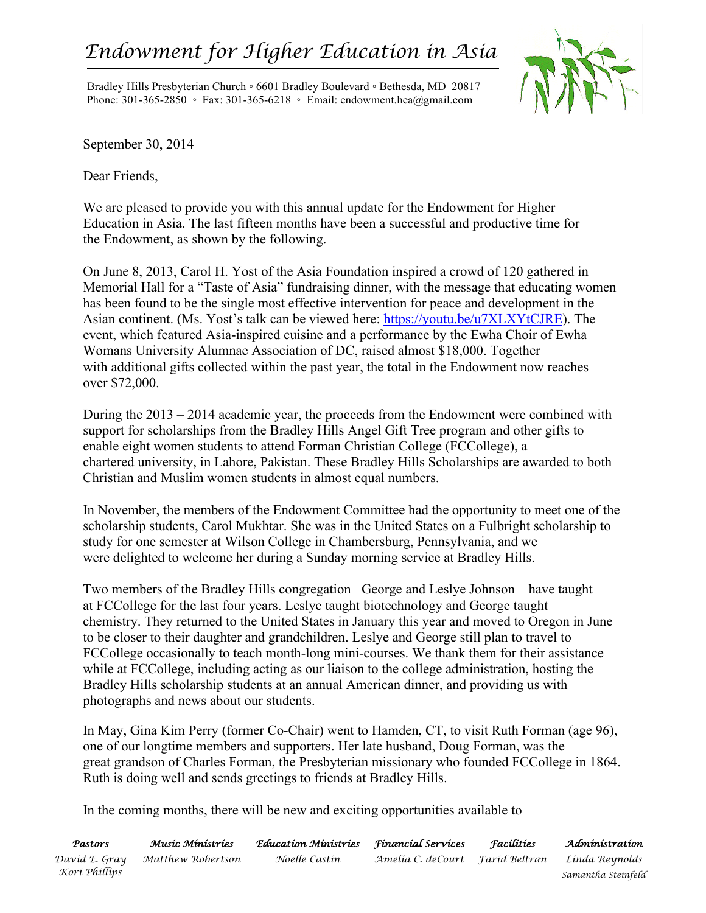## *Endowment for Higher Education in Asia*

Bradley Hills Presbyterian Church ◦ 6601 Bradley Boulevard ◦ Bethesda, MD 20817 Phone: 301-365-2850 ◦ Fax: 301-365-6218 ◦ Email: endowment.hea@gmail.com



September 30, 2014

Dear Friends,

We are pleased to provide you with this annual update for the Endowment for Higher Education in Asia. The last fifteen months have been a successful and productive time for the Endowment, as shown by the following.

On June 8, 2013, Carol H. Yost of the Asia Foundation inspired a crowd of 120 gathered in Memorial Hall for a "Taste of Asia" fundraising dinner, with the message that educating women has been found to be the single most effective intervention for peace and development in the Asian continent. (Ms. Yost's talk can be viewed here: <https://youtu.be/u7XLXYtCJRE>). The event, which featured Asia-inspired cuisine and a performance by the Ewha Choir of Ewha Womans University Alumnae Association of DC, raised almost \$18,000. Together with additional gifts collected within the past year, the total in the Endowment now reaches over \$72,000.

During the 2013 – 2014 academic year, the proceeds from the Endowment were combined with support for scholarships from the Bradley Hills Angel Gift Tree program and other gifts to enable eight women students to attend Forman Christian College (FCCollege), a chartered university, in Lahore, Pakistan. These Bradley Hills Scholarships are awarded to both Christian and Muslim women students in almost equal numbers.

In November, the members of the Endowment Committee had the opportunity to meet one of the scholarship students, Carol Mukhtar. She was in the United States on a Fulbright scholarship to study for one semester at Wilson College in Chambersburg, Pennsylvania, and we were delighted to welcome her during a Sunday morning service at Bradley Hills.

Two members of the Bradley Hills congregation– George and Leslye Johnson – have taught at FCCollege for the last four years. Leslye taught biotechnology and George taught chemistry. They returned to the United States in January this year and moved to Oregon in June to be closer to their daughter and grandchildren. Leslye and George still plan to travel to FCCollege occasionally to teach month-long mini-courses. We thank them for their assistance while at FCCollege, including acting as our liaison to the college administration, hosting the Bradley Hills scholarship students at an annual American dinner, and providing us with photographs and news about our students.

In May, Gina Kim Perry (former Co-Chair) went to Hamden, CT, to visit Ruth Forman (age 96), one of our longtime members and supporters. Her late husband, Doug Forman, was the great grandson of Charles Forman, the Presbyterian missionary who founded FCCollege in 1864. Ruth is doing well and sends greetings to friends at Bradley Hills.

In the coming months, there will be new and exciting opportunities available to

| Pastors       | Musíc Mínístríes  | Education Ministries – Financial Services |                                   | Facílities | Administration     |
|---------------|-------------------|-------------------------------------------|-----------------------------------|------------|--------------------|
| David E. Gray | Matthew Robertson | Noelle Castin                             | Amelia C. deCourt – Farid Beltran |            | Linda Reynolds     |
| Kori Phillips |                   |                                           |                                   |            | Samantha Steinfeld |